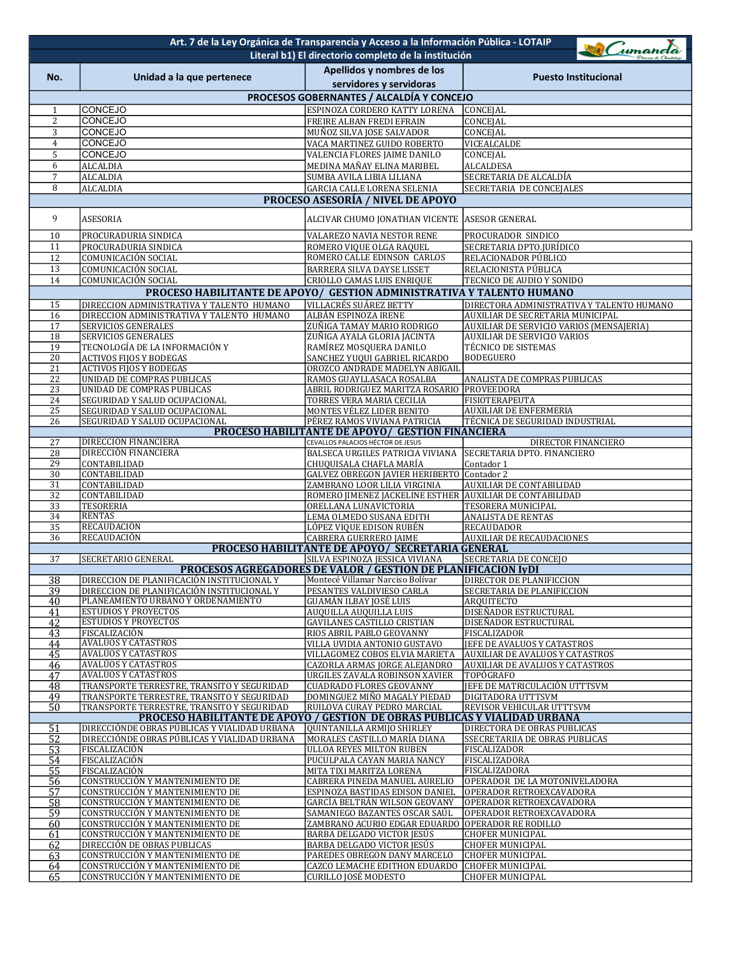|                                                                                                                                                                    | Art. 7 de la Ley Orgánica de Transparencia y Acceso a la Información Pública - LOTAIP                                           |                                                                                    |                                                                                  |  |  |  |
|--------------------------------------------------------------------------------------------------------------------------------------------------------------------|---------------------------------------------------------------------------------------------------------------------------------|------------------------------------------------------------------------------------|----------------------------------------------------------------------------------|--|--|--|
| umanda<br>Literal b1) El directorio completo de la institución                                                                                                     |                                                                                                                                 |                                                                                    |                                                                                  |  |  |  |
| No.                                                                                                                                                                | Unidad a la que pertenece                                                                                                       | Apellidos y nombres de los                                                         | <b>Puesto Institucional</b>                                                      |  |  |  |
|                                                                                                                                                                    |                                                                                                                                 | servidores y servidoras                                                            |                                                                                  |  |  |  |
|                                                                                                                                                                    |                                                                                                                                 | PROCESOS GOBERNANTES / ALCALDÍA Y CONCEJO                                          |                                                                                  |  |  |  |
| $\mathbf{1}$                                                                                                                                                       | <b>CONCEJO</b>                                                                                                                  | ESPINOZA CORDERO KATTY LORENA                                                      | CONCEJAL                                                                         |  |  |  |
| $\overline{2}$                                                                                                                                                     | <b>CONCEJO</b>                                                                                                                  | FREIRE ALBAN FREDI EFRAIN                                                          | CONCEJAL                                                                         |  |  |  |
| 3                                                                                                                                                                  | <b>CONCEJO</b>                                                                                                                  | MUÑOZ SILVA JOSE SALVADOR                                                          | CONCEJAL                                                                         |  |  |  |
| $\boldsymbol{4}$<br>5                                                                                                                                              | <b>CONCEJO</b><br><b>CONCEJO</b>                                                                                                | VACA MARTINEZ GUIDO ROBERTO<br>VALENCIA FLORES JAIME DANILO                        | VICEALCALDE<br>CONCEJAL                                                          |  |  |  |
| 6                                                                                                                                                                  | <b>ALCALDIA</b>                                                                                                                 | MEDINA MAÑAY ELINA MARIBEL                                                         | <b>ALCALDESA</b>                                                                 |  |  |  |
| $\overline{7}$                                                                                                                                                     | <b>ALCALDIA</b>                                                                                                                 | SUMBA AVILA LIBIA LILIANA                                                          | SECRETARIA DE ALCALDÍA                                                           |  |  |  |
| 8                                                                                                                                                                  | <b>ALCALDIA</b>                                                                                                                 | <b>GARCIA CALLE LORENA SELENIA</b>                                                 | SECRETARIA DE CONCEJALES                                                         |  |  |  |
| PROCESO ASESORÍA / NIVEL DE APOYO                                                                                                                                  |                                                                                                                                 |                                                                                    |                                                                                  |  |  |  |
| 9                                                                                                                                                                  | <b>ASESORIA</b>                                                                                                                 | ALCIVAR CHUMO JONATHAN VICENTE ASESOR GENERAL                                      |                                                                                  |  |  |  |
| 10                                                                                                                                                                 | PROCURADURIA SINDICA                                                                                                            | VALAREZO NAVIA NESTOR RENE                                                         | PROCURADOR SINDICO                                                               |  |  |  |
| 11                                                                                                                                                                 | PROCURADURIA SINDICA                                                                                                            | ROMERO VIQUE OLGA RAQUEL                                                           | SECRETARIA DPTO.JURÍDICO                                                         |  |  |  |
| 12                                                                                                                                                                 | COMUNICACIÓN SOCIAL                                                                                                             | ROMERO CALLE EDINSON CARLOS                                                        | RELACIONADOR PÚBLICO                                                             |  |  |  |
| 13<br>14                                                                                                                                                           | COMUNICACIÓN SOCIAL<br>COMUNICACIÓN SOCIAL                                                                                      | BARRERA SILVA DAYSE LISSET<br>CRIOLLO CAMAS LUIS ENRIQUE                           | RELACIONISTA PÚBLICA<br>TECNICO DE AUDIO Y SONIDO                                |  |  |  |
|                                                                                                                                                                    | PROCESO HABILITANTE DE APOYO/ GESTION ADMINISTRATIVA Y TALENTO HUMANO                                                           |                                                                                    |                                                                                  |  |  |  |
| 15                                                                                                                                                                 | DIRECCION ADMINISTRATIVA Y TALENTO HUMANO                                                                                       | VILLACRÉS SUÁREZ BETTY                                                             | DIRECTORA ADMINISTRATIVA Y TALENTO HUMANO                                        |  |  |  |
| 16                                                                                                                                                                 | DIRECCION ADMINISTRATIVA Y TALENTO HUMANO                                                                                       | ALBÁN ESPINOZA IRENE                                                               | AUXILIAR DE SECRETARIA MUNICIPAL                                                 |  |  |  |
| 17                                                                                                                                                                 | SERVICIOS GENERALES                                                                                                             | ZUÑIGA TAMAY MARIO RODRIGO                                                         | AUXILIAR DE SERVICIO VARIOS (MENSAJERIA)                                         |  |  |  |
| 18<br>19                                                                                                                                                           | SERVICIOS GENERALES<br>TECNOLOGÍA DE LA INFORMACIÓN Y                                                                           | ZUÑIGA AYALA GLORIA JACINTA<br>RAMÍREZ MOSQUERA DANILO                             | <b>AUXILIAR DE SERVICIO VARIOS</b><br>TÉCNICO DE SISTEMAS                        |  |  |  |
| $\overline{20}$                                                                                                                                                    | <b>ACTIVOS FIJOS Y BODEGAS</b>                                                                                                  | SANCHEZ YUQUI GABRIEL RICARDO                                                      | <b>BODEGUERO</b>                                                                 |  |  |  |
| 21                                                                                                                                                                 | <b>ACTIVOS FIJOS Y BODEGAS</b>                                                                                                  | OROZCO ANDRADE MADELYN ABIGAIL                                                     |                                                                                  |  |  |  |
| $\overline{22}$                                                                                                                                                    | UNIDAD DE COMPRAS PUBLICAS                                                                                                      | RAMOS GUAYLLASACA ROSALBA                                                          | ANALISTA DE COMPRAS PUBLICAS                                                     |  |  |  |
| 23<br>24                                                                                                                                                           | UNIDAD DE COMPRAS PUBLICAS<br>SEGURIDAD Y SALUD OCUPACIONAL                                                                     | ABRIL RODRIGUEZ MARITZA ROSARIO PROVEEDORA<br>TORRES VERA MARIA CECILIA            | <b>FISIOTERAPEUTA</b>                                                            |  |  |  |
| 25                                                                                                                                                                 | SEGURIDAD Y SALUD OCUPACIONAL                                                                                                   | MONTES VÉLEZ LIDER BENITO                                                          | <b>AUXILIAR DE ENFERMERIA</b>                                                    |  |  |  |
| 26                                                                                                                                                                 | SEGURIDAD Y SALUD OCUPACIONAL                                                                                                   | PÉREZ RAMOS VIVIANA PATRICIA                                                       | TÉCNICA DE SEGURIDAD INDUSTRIAL                                                  |  |  |  |
|                                                                                                                                                                    |                                                                                                                                 | PROCESO HABILITANTE DE APOYO/ GESTION FINANCIERA                                   |                                                                                  |  |  |  |
| 27<br>28                                                                                                                                                           | <b>DIRECCIÓN FINANCIERA</b><br>DIRECCIÓN FINANCIERA                                                                             | CEVALLOS PALACIOS HÉCTOR DE JESUS<br>BALSECA URGILES PATRICIA VIVIANA              | DIRECTOR FINANCIERO<br>SECRETARIA DPTO. FINANCIERO                               |  |  |  |
| 29                                                                                                                                                                 | CONTABILIDAD                                                                                                                    | CHUQUISALA CHAFLA MARÍA                                                            | Contador 1                                                                       |  |  |  |
| $\overline{30}$                                                                                                                                                    | CONTABILIDAD                                                                                                                    | <b>GALVEZ OBREGON JAVIER HERIBERTO Contador 2</b>                                  |                                                                                  |  |  |  |
| 31                                                                                                                                                                 | CONTABILIDAD                                                                                                                    | ZAMBRANO LOOR LILIA VIRGINIA                                                       | AUXILIAR DE CONTABILIDAD                                                         |  |  |  |
| 32<br>33                                                                                                                                                           | CONTABILIDAD<br><b>TESORERIA</b>                                                                                                | ROMERO JIMENEZ JACKELINE ESTHER AUXILIAR DE CONTABILIDAD<br>ORELLANA LUNAVICTORIA  | TESORERA MUNICIPAL                                                               |  |  |  |
| 34                                                                                                                                                                 | <b>RENTAS</b>                                                                                                                   | LEMA OLMEDO SUSANA EDITH                                                           | <b>ANALISTA DE RENTAS</b>                                                        |  |  |  |
| 35                                                                                                                                                                 | <b>RECAUDACIÓN</b>                                                                                                              | LÓPEZ VIQUE EDISON RUBÉN                                                           | RECAUDADOR                                                                       |  |  |  |
| 36                                                                                                                                                                 | RECAUDACIÓN                                                                                                                     | CABRERA GUERRERO JAIME                                                             | <b>AUXILIAR DE RECAUDACIONES</b>                                                 |  |  |  |
|                                                                                                                                                                    |                                                                                                                                 | PROCESO HABILITANTE DE APOYO/ SECRETARIA GENERAL                                   |                                                                                  |  |  |  |
| <b>SECRETARIA DE CONCEJO</b><br>37<br><b>SECRETARIO GENERAL</b><br>SILVA ESPINOZA JESSICA VIVIANA<br>PROCESOS AGREGADORES DE VALOR / GESTION DE PLANIFICACION IyDI |                                                                                                                                 |                                                                                    |                                                                                  |  |  |  |
| <u>38</u>                                                                                                                                                          | DIRECCION DE PLANIFICACION INSTITUCIONAL Y                                                                                      | Montecé Villamar Narciso Bolívar                                                   | DIRECTOR DE PLANIFICCION                                                         |  |  |  |
| 39                                                                                                                                                                 | DIRECCION DE PLANIFICACIÓN INSTITUCIONAL Y                                                                                      | PESANTES VALDIVIESO CARLA                                                          | SECRETARIA DE PLANIFICCION                                                       |  |  |  |
| 40<br>41                                                                                                                                                           | PLANEAMIENTO URBANO Y ORDENAMIENTO<br><b>ESTUDIOS Y PROYECTOS</b>                                                               | GUAMÁN ILBAY JOSÉ LUIS<br>AUQUILLA AUQUILLA LUIS                                   | ARQUITECTO<br>DISEÑADOR ESTRUCTURAL                                              |  |  |  |
| 42                                                                                                                                                                 | <b>ESTUDIOS Y PROYECTOS</b>                                                                                                     | <b>GAVILANES CASTILLO CRISTIAN</b>                                                 | DISEÑADOR ESTRUCTURAL                                                            |  |  |  |
| 43                                                                                                                                                                 | FISCALIZACIÓN                                                                                                                   | RIOS ABRIL PABLO GEOVANNY                                                          | FISCALIZADOR                                                                     |  |  |  |
| 44                                                                                                                                                                 | <b>AVALÚOS Y CATASTROS</b>                                                                                                      | VILLA UVIDIA ANTONIO GUSTAVO                                                       | JEFE DE AVALUOS Y CATASTROS                                                      |  |  |  |
| 45<br>46                                                                                                                                                           | <b>AVALÚOS Y CATASTROS</b><br>AVALÚOS Y CATASTROS                                                                               | VILLAGOMEZ COBOS ELVIA MARIETA<br>CAZORLA ARMAS JORGE ALEJANDRO                    | <b>AUXILIAR DE AVALUOS Y CATASTROS</b><br><b>AUXILIAR DE AVALUOS Y CATASTROS</b> |  |  |  |
| 47                                                                                                                                                                 | <b>AVALÚOS Y CATASTROS</b>                                                                                                      | URGILES ZAVALA ROBINSON XAVIER                                                     | TOPÓGRAFO                                                                        |  |  |  |
| 48                                                                                                                                                                 | TRANSPORTE TERRESTRE, TRANSITO Y SEGURIDAD                                                                                      | <b>CUADRADO FLORES GEOVANNY</b>                                                    | JEFE DE MATRICULACIÓN UTTTSVM                                                    |  |  |  |
| 49                                                                                                                                                                 | TRANSPORTE TERRESTRE, TRANSITO Y SEGURIDAD                                                                                      | DOMINGUEZ MIÑO MAGALY PIEDAD                                                       | DIGITADORA UTTTSVM                                                               |  |  |  |
| 50                                                                                                                                                                 | TRANSPORTE TERRESTRE, TRANSITO Y SEGURIDAD<br><b>PROCESO HABILITANTE DE APOYO / GESTIÓN DE OBRAS PÚBLICAS Y VIALIDAD URBANA</b> | RUILOVA CURAY PEDRO MARCIAL                                                        | REVISOR VEHICULAR UTTTSVM                                                        |  |  |  |
| 51                                                                                                                                                                 | DIRECCIÓNDE OBRAS PÚBLICAS Y VIALIDAD URBANA                                                                                    | QUINTANILLA ARMIJO SHIRLEY                                                         | DIRECTORA DE OBRAS PUBLICAS                                                      |  |  |  |
| 52                                                                                                                                                                 | DIRECCIÓNDE OBRAS PÚBLICAS Y VIALIDAD URBANA                                                                                    | MORALES CASTILLO MARÍA DIANA                                                       | SSECRETARIIA DE OBRAS PUBLICAS                                                   |  |  |  |
| 53                                                                                                                                                                 | FISCALIZACIÓN                                                                                                                   | ULLOA REYES MILTON RUBEN                                                           | FISCALIZADOR                                                                     |  |  |  |
| 54<br>55                                                                                                                                                           | FISCALIZACIÓN<br>FISCALIZACIÓN                                                                                                  | PUCULPALA CAYAN MARIA NANCY<br>MITA TIXI MARITZA LORENA                            | FISCALIZADORA<br>FISCALIZADORA                                                   |  |  |  |
| 56                                                                                                                                                                 | CONSTRUCCIÓN Y MANTENIMIENTO DE                                                                                                 | CABRERA PINEDA MANUEL AURELIO                                                      | OPERADOR DE LA MOTONIVELADORA                                                    |  |  |  |
| $\overline{57}$                                                                                                                                                    | CONSTRUCCIÓN Y MANTENIMIENTO DE                                                                                                 | ESPINOZA BASTIDAS EDISON DANIEL                                                    | OPERADOR RETROEXCAVADORA                                                         |  |  |  |
| 58                                                                                                                                                                 | CONSTRUCCIÓN Y MANTENIMIENTO DE                                                                                                 | GARCÍA BELTRÁN WILSON GEOVANY                                                      | OPERADOR RETROEXCAVADORA                                                         |  |  |  |
| 59<br>60                                                                                                                                                           | CONSTRUCCIÓN Y MANTENIMIENTO DE<br>CONSTRUCCIÓN Y MANTENIMIENTO DE                                                              | SAMANIEGO BAZANTES OSCAR SAÚL<br>ZAMBRANO ACURIO EDGAR EDUARDO OPERADOR RE RODILLO | OPERADOR RETROEXCAVADORA                                                         |  |  |  |
| 61                                                                                                                                                                 | CONSTRUCCIÓN Y MANTENIMIENTO DE                                                                                                 | BARBA DELGADO VICTOR JESÚS                                                         | <b>CHOFER MUNICIPAL</b>                                                          |  |  |  |
| 62                                                                                                                                                                 | DIRECCIÓN DE OBRAS PUBLICAS                                                                                                     | BARBA DELGADO VICTOR JESÚS                                                         | <b>CHOFER MUNICIPAL</b>                                                          |  |  |  |
| 63                                                                                                                                                                 | CONSTRUCCIÓN Y MANTENIMIENTO DE                                                                                                 | PAREDES OBREGON DANY MARCELO                                                       | <b>CHOFER MUNICIPAL</b>                                                          |  |  |  |
| 64                                                                                                                                                                 | CONSTRUCCIÓN Y MANTENIMIENTO DE                                                                                                 | CAZCO LEMACHE EDITHON EDUARDO                                                      | <b>CHOFER MUNICIPAL</b>                                                          |  |  |  |
| 65                                                                                                                                                                 | CONSTRUCCIÓN Y MANTENIMIENTO DE                                                                                                 | CURILLO JOSÉ MODESTO                                                               | <b>CHOFER MUNICIPAL</b>                                                          |  |  |  |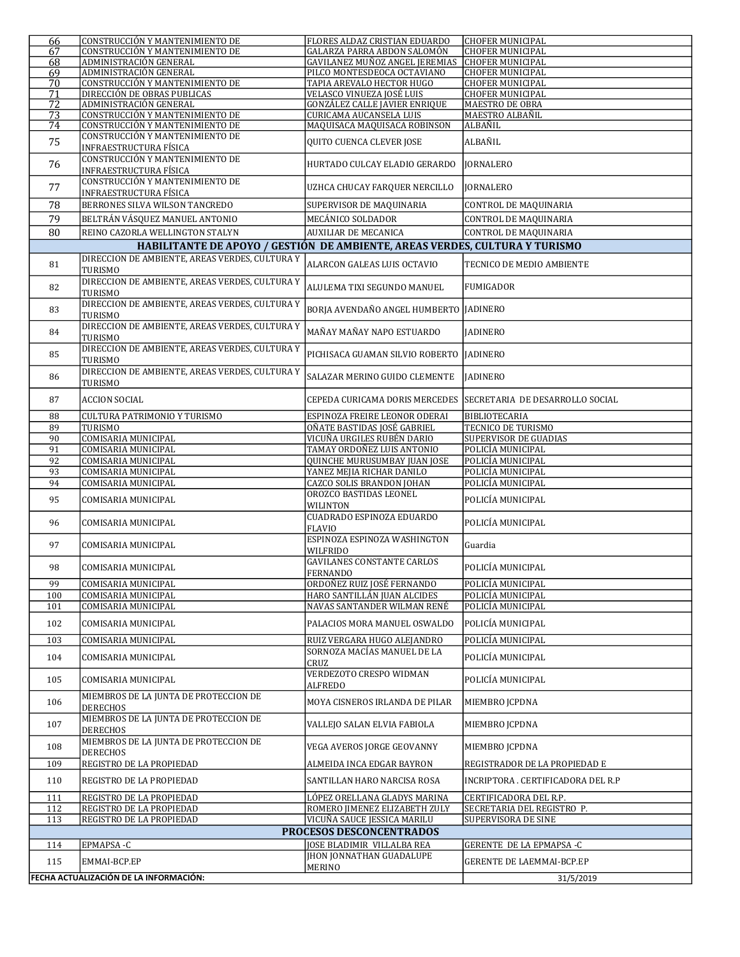| 66                                                                                                                                                                     | CONSTRUCCIÓN Y MANTENIMIENTO DE                                  | FLORES ALDAZ CRISTIAN EDUARDO                                 | <b>CHOFER MUNICIPAL</b>                            |  |  |
|------------------------------------------------------------------------------------------------------------------------------------------------------------------------|------------------------------------------------------------------|---------------------------------------------------------------|----------------------------------------------------|--|--|
| 67                                                                                                                                                                     | CONSTRUCCIÓN Y MANTENIMIENTO DE                                  | GALARZA PARRA ABDON SALOMÓN                                   | <b>CHOFER MUNICIPAL</b>                            |  |  |
| 68<br>69                                                                                                                                                               | ADMINISTRACIÓN GENERAL<br>ADMINISTRACIÓN GENERAL                 | GAVILANEZ MUÑOZ ANGEL JEREMIAS<br>PILCO MONTESDEOCA OCTAVIANO | <b>CHOFER MUNICIPAL</b><br><b>CHOFER MUNICIPAL</b> |  |  |
| 70                                                                                                                                                                     | CONSTRUCCIÓN Y MANTENIMIENTO DE                                  | TAPIA AREVALO HECTOR HUGO                                     | <b>CHOFER MUNICIPAL</b>                            |  |  |
| 71                                                                                                                                                                     | DIRECCIÓN DE OBRAS PUBLICAS                                      | VELASCO VINUEZA JOSÉ LUIS                                     | <b>CHOFER MUNICIPAL</b>                            |  |  |
| 72                                                                                                                                                                     | ADMINISTRACIÓN GENERAL                                           | <b>GONZÁLEZ CALLE JAVIER ENRIQUE</b>                          | MAESTRO DE OBRA                                    |  |  |
| 73                                                                                                                                                                     | CONSTRUCCIÓN Y MANTENIMIENTO DE                                  | <b>CURICAMA AUCANSELA LUIS</b>                                | <b>MAESTRO ALBAÑIL</b>                             |  |  |
| 74                                                                                                                                                                     | CONSTRUCCIÓN Y MANTENIMIENTO DE                                  | MAQUISACA MAQUISACA ROBINSON                                  | ALBAÑIL                                            |  |  |
| 75                                                                                                                                                                     | CONSTRUCCIÓN Y MANTENIMIENTO DE<br><b>INFRAESTRUCTURA FÍSICA</b> | QUITO CUENCA CLEVER JOSE                                      | ALBAÑIL                                            |  |  |
| 76                                                                                                                                                                     | CONSTRUCCIÓN Y MANTENIMIENTO DE<br><b>INFRAESTRUCTURA FÍSICA</b> | HURTADO CULCAY ELADIO GERARDO                                 | <b>JORNALERO</b>                                   |  |  |
| 77                                                                                                                                                                     | CONSTRUCCIÓN Y MANTENIMIENTO DE<br>INFRAESTRUCTURA FÍSICA        | UZHCA CHUCAY FARQUER NERCILLO                                 | <b>JORNALERO</b>                                   |  |  |
| 78                                                                                                                                                                     | BERRONES SILVA WILSON TANCREDO                                   | SUPERVISOR DE MAQUINARIA                                      | CONTROL DE MAQUINARIA                              |  |  |
| 79                                                                                                                                                                     | BELTRÁN VÁSQUEZ MANUEL ANTONIO                                   | MECÁNICO SOLDADOR                                             | <b>CONTROL DE MAQUINARIA</b>                       |  |  |
| 80                                                                                                                                                                     |                                                                  |                                                               |                                                    |  |  |
| REINO CAZORLA WELLINGTON STALYN<br><b>AUXILIAR DE MECANICA</b><br>CONTROL DE MAQUINARIA<br>HABILITANTE DE APOYO / GESTIÓN DE AMBIENTE, AREAS VERDES, CULTURA Y TURISMO |                                                                  |                                                               |                                                    |  |  |
|                                                                                                                                                                        |                                                                  |                                                               |                                                    |  |  |
| 81                                                                                                                                                                     | DIRECCION DE AMBIENTE, AREAS VERDES, CULTURA Y<br><b>TURISMO</b> | ALARCON GALEAS LUIS OCTAVIO                                   | TECNICO DE MEDIO AMBIENTE                          |  |  |
| 82                                                                                                                                                                     | DIRECCION DE AMBIENTE, AREAS VERDES, CULTURA Y<br><b>TURISMO</b> | ALULEMA TIXI SEGUNDO MANUEL                                   | <b>FUMIGADOR</b>                                   |  |  |
| 83                                                                                                                                                                     | DIRECCION DE AMBIENTE, AREAS VERDES, CULTURA Y<br><b>TURISMO</b> | BORJA AVENDAÑO ANGEL HUMBERTO JADINERO                        |                                                    |  |  |
| 84                                                                                                                                                                     | DIRECCION DE AMBIENTE, AREAS VERDES, CULTURA Y<br><b>TURISMO</b> | MAÑAY MAÑAY NAPO ESTUARDO                                     | <b>JADINERO</b>                                    |  |  |
| 85                                                                                                                                                                     | DIRECCION DE AMBIENTE, AREAS VERDES, CULTURA Y<br>TURISMO        | PICHISACA GUAMAN SILVIO ROBERTO   JADINERO                    |                                                    |  |  |
| 86                                                                                                                                                                     | DIRECCION DE AMBIENTE, AREAS VERDES, CULTURA Y<br>TURISMO        | SALAZAR MERINO GUIDO CLEMENTE                                 | <b>JADINERO</b>                                    |  |  |
| 87                                                                                                                                                                     | <b>ACCION SOCIAL</b>                                             | CEPEDA CURICAMA DORIS MERCEDES                                | SECRETARIA DE DESARROLLO SOCIAL                    |  |  |
| 88                                                                                                                                                                     | <b>CULTURA PATRIMONIO Y TURISMO</b>                              | ESPINOZA FREIRE LEONOR ODERAI                                 | <b>BIBLIOTECARIA</b>                               |  |  |
| 89                                                                                                                                                                     | TURISMO                                                          | OÑATE BASTIDAS JOSÉ GABRIEL                                   | TECNICO DE TURISMO                                 |  |  |
| 90                                                                                                                                                                     | COMISARIA MUNICIPAL                                              | VICUÑA URGILES RUBÉN DARIO                                    | <b>SUPERVISOR DE GUADIAS</b>                       |  |  |
| 91                                                                                                                                                                     | COMISARIA MUNICIPAL                                              | TAMAY ORDOÑEZ LUIS ANTONIO                                    | POLICÍA MUNICIPAL                                  |  |  |
| 92                                                                                                                                                                     | COMISARIA MUNICIPAL                                              | QUINCHE MURUSUMBAY JUAN JOSE                                  | POLICÍA MUNICIPAL                                  |  |  |
| 93                                                                                                                                                                     | COMISARIA MUNICIPAL                                              | YANEZ MEJIA RICHAR DANILO                                     | POLICÍA MUNICIPAL                                  |  |  |
| 94                                                                                                                                                                     | COMISARIA MUNICIPAL                                              | <b>CAZCO SOLIS BRANDON JOHAN</b>                              | POLICÍA MUNICIPAL                                  |  |  |
| 95                                                                                                                                                                     | COMISARIA MUNICIPAL                                              | OROZCO BASTIDAS LEONEL<br><b>WILINTON</b>                     | POLICÍA MUNICIPAL                                  |  |  |
| 96                                                                                                                                                                     | COMISARIA MUNICIPAL                                              | CUADRADO ESPINOZA EDUARDO<br><b>FLAVIO</b>                    | POLICÍA MUNICIPAL                                  |  |  |
| 97                                                                                                                                                                     | COMISARIA MUNICIPAL                                              | ESPINOZA ESPINOZA WASHINGTON<br>WILFRIDO                      | Guardia                                            |  |  |
| 98                                                                                                                                                                     | COMISARIA MUNICIPAL                                              | <b>GAVILANES CONSTANTE CARLOS</b><br>FERNANDO                 | POLICÍA MUNICIPAL                                  |  |  |
| 99                                                                                                                                                                     | COMISARIA MUNICIPAL                                              | ORDOÑEZ RUIZ JOSÉ FERNANDO                                    | POLICÍA MUNICIPAL                                  |  |  |
| 100                                                                                                                                                                    | COMISARIA MUNICIPAL                                              | HARO SANTILLÁN JUAN ALCIDES                                   | POLICÍA MUNICIPAL                                  |  |  |
| 101                                                                                                                                                                    | COMISARIA MUNICIPAL                                              | NAVAS SANTANDER WILMAN RENÉ                                   | POLICÍA MUNICIPAL                                  |  |  |
| 102                                                                                                                                                                    | COMISARIA MUNICIPAL                                              | PALACIOS MORA MANUEL OSWALDO                                  | POLICÍA MUNICIPAL                                  |  |  |
| 103                                                                                                                                                                    | COMISARIA MUNICIPAL                                              | RUIZ VERGARA HUGO ALEJANDRO                                   | POLICÍA MUNICIPAL                                  |  |  |
| 104                                                                                                                                                                    | COMISARIA MUNICIPAL                                              | SORNOZA MACÍAS MANUEL DE LA<br>CRUZ                           | POLICÍA MUNICIPAL                                  |  |  |
| 105                                                                                                                                                                    | COMISARIA MUNICIPAL                                              | VERDEZOTO CRESPO WIDMAN<br><b>ALFREDO</b>                     | POLICÍA MUNICIPAL                                  |  |  |
| 106                                                                                                                                                                    | MIEMBROS DE LA JUNTA DE PROTECCION DE<br><b>DERECHOS</b>         | MOYA CISNEROS IRLANDA DE PILAR                                | MIEMBRO JCPDNA                                     |  |  |
| 107                                                                                                                                                                    | MIEMBROS DE LA JUNTA DE PROTECCION DE<br><b>DERECHOS</b>         | VALLEJO SALAN ELVIA FABIOLA                                   | MIEMBRO JCPDNA                                     |  |  |
| 108                                                                                                                                                                    | MIEMBROS DE LA JUNTA DE PROTECCION DE<br><b>DERECHOS</b>         | VEGA AVEROS JORGE GEOVANNY                                    | MIEMBRO JCPDNA                                     |  |  |
| 109                                                                                                                                                                    | REGISTRO DE LA PROPIEDAD                                         | ALMEIDA INCA EDGAR BAYRON                                     | REGISTRADOR DE LA PROPIEDAD E                      |  |  |
| 110                                                                                                                                                                    | REGISTRO DE LA PROPIEDAD                                         | SANTILLAN HARO NARCISA ROSA                                   | INCRIPTORA . CERTIFICADORA DEL R.P                 |  |  |
| 111                                                                                                                                                                    | REGISTRO DE LA PROPIEDAD                                         | LÓPEZ ORELLANA GLADYS MARINA                                  | CERTIFICADORA DEL R.P.                             |  |  |
| 112                                                                                                                                                                    | REGISTRO DE LA PROPIEDAD                                         | ROMERO JIMENEZ ELIZABETH ZULY                                 | SECRETARIA DEL REGISTRO P.                         |  |  |
| REGISTRO DE LA PROPIEDAD<br>VICUÑA SAUCE JESSICA MARILU<br>SUPERVISORA DE SINE<br>113                                                                                  |                                                                  |                                                               |                                                    |  |  |
|                                                                                                                                                                        |                                                                  | PROCESOS DESCONCENTRADOS                                      |                                                    |  |  |
| 114                                                                                                                                                                    | EPMAPSA-C                                                        | JOSE BLADIMIR VILLALBA REA                                    | GERENTE DE LA EPMAPSA-C                            |  |  |
| 115                                                                                                                                                                    | EMMAI-BCP.EP                                                     | <b>JHON JONNATHAN GUADALUPE</b>                               | GERENTE DE LAEMMAI-BCP.EP                          |  |  |
|                                                                                                                                                                        |                                                                  | MERINO                                                        |                                                    |  |  |
| FECHA ACTUALIZACIÓN DE LA INFORMACIÓN:<br>31/5/2019                                                                                                                    |                                                                  |                                                               |                                                    |  |  |